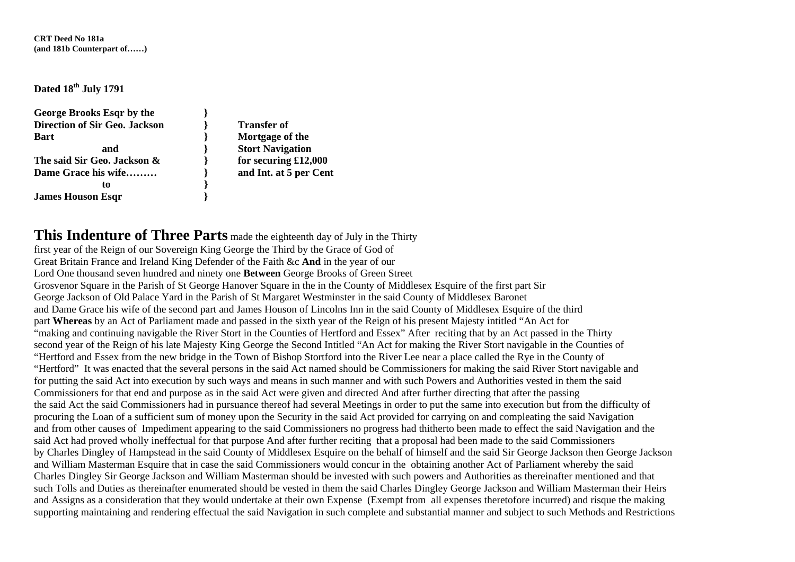**CRT Deed No 181a (and 181b Counterpart of……)** 

**Dated 18th July 1791** 

| George Brooks Esqr by the            |                     |
|--------------------------------------|---------------------|
| <b>Direction of Sir Geo. Jackson</b> | <b>Transfer of</b>  |
| <b>Bart</b>                          | Mortgage of         |
| and                                  | <b>Stort Naviga</b> |
| The said Sir Geo. Jackson &          | for securing        |
| Dame Grace his wife                  | and Int. at 5       |
| tο                                   |                     |
| <b>James Houson Esqr</b>             |                     |

**Bart } Mortgage of the and } Stort Navigation**   $r$ **ing £12,000** at 5 per Cent.

## **This Indenture of Three Parts** made the eighteenth day of July in the Thirty

first year of the Reign of our Sovereign King George the Third by the Grace of God of Great Britain France and Ireland King Defender of the Faith &c **And** in the year of our Lord One thousand seven hundred and ninety one **Between** George Brooks of Green Street Grosvenor Square in the Parish of St George Hanover Square in the in the County of Middlesex Esquire of the first part Sir George Jackson of Old Palace Yard in the Parish of St Margaret Westminster in the said County of Middlesex Baronet and Dame Grace his wife of the second part and James Houson of Lincolns Inn in the said County of Middlesex Esquire of the third part **Whereas** by an Act of Parliament made and passed in the sixth year of the Reign of his present Majesty intitled "An Act for "making and continuing navigable the River Stort in the Counties of Hertford and Essex" After reciting that by an Act passed in the Thirty second year of the Reign of his late Majesty King George the Second Intitled "An Act for making the River Stort navigable in the Counties of "Hertford and Essex from the new bridge in the Town of Bishop Stortford into the River Lee near a place called the Rye in the County of "Hertford" It was enacted that the several persons in the said Act named should be Commissioners for making the said River Stort navigable and for putting the said Act into execution by such ways and means in such manner and with such Powers and Authorities vested in them the said Commissioners for that end and purpose as in the said Act were given and directed And after further directing that after the passing the said Act the said Commissioners had in pursuance thereof had several Meetings in order to put the same into execution but from the difficulty of procuring the Loan of a sufficient sum of money upon the Security in the said Act provided for carrying on and compleating the said Navigation and from other causes of Impediment appearing to the said Commissioners no progress had thitherto been made to effect the said Navigation and the said Act had proved wholly ineffectual for that purpose And after further reciting that a proposal had been made to the said Commissioners by Charles Dingley of Hampstead in the said County of Middlesex Esquire on the behalf of himself and the said Sir George Jackson then George Jackson and William Masterman Esquire that in case the said Commissioners would concur in the obtaining another Act of Parliament whereby the said Charles Dingley Sir George Jackson and William Masterman should be invested with such powers and Authorities as thereinafter mentioned and that such Tolls and Duties as thereinafter enumerated should be vested in them the said Charles Dingley George Jackson and William Masterman their Heirs and Assigns as a consideration that they would undertake at their own Expense (Exempt from all expenses theretofore incurred) and risque the making supporting maintaining and rendering effectual the said Navigation in such complete and substantial manner and subject to such Methods and Restrictions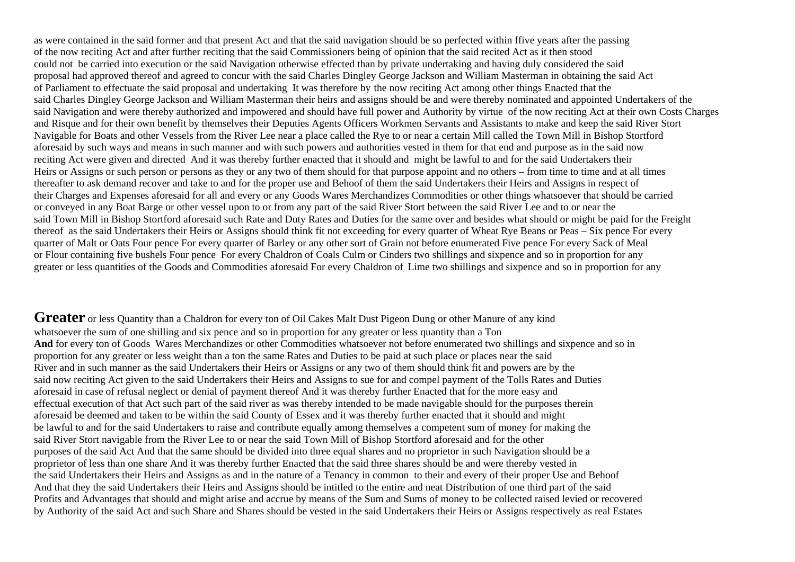as were contained in the said former and that present Act and that the said navigation should be so perfected within ffive years after the passing of the now reciting Act and after further reciting that the said Commissioners being of opinion that the said recited Act as it then stood could not be carried into execution or the said Navigation otherwise effected than by private undertaking and having duly considered the said proposal had approved thereof and agreed to concur with the said Charles Dingley George Jackson and William Masterman in obtaining the said Act of Parliament to effectuate the said proposal and undertaking It was therefore by the now reciting Act among other things Enacted that the said Charles Dingley George Jackson and William Masterman their heirs and assigns should be and were thereby nominated and appointed Undertakers of the said Navigation and were thereby authorized and impowered and should have full power and Authority by virtue of the now reciting Act at their own Costs Charges and Risque and for their own benefit by themselves their Deputies Agents Officers Workmen Servants and Assistants to make and keep the said River Stort Navigable for Boats and other Vessels from the River Lee near a place called the Rye to or near a certain Mill called the Town Mill in Bishop Stortford aforesaid by such ways and means in such manner and with such powers and authorities vested in them for that end and purpose as in the said now reciting Act were given and directed And it was thereby further enacted that it should and might be lawful to and for the said Undertakers their Heirs or Assigns or such person or persons as they or any two of them should for that purpose appoint and no others – from time to time and at all times thereafter to ask demand recover and take to and for the proper use and Behoof of them the said Undertakers their Heirs and Assigns in respect of their Charges and Expenses aforesaid for all and every or any Goods Wares Merchandizes Commodities or other things whatsoever that should be carried or conveyed in any Boat Barge or other vessel upon to or from any part of the said River Stort between the said River Lee and to or near the said Town Mill in Bishop Stortford aforesaid such Rate and Duty Rates and Duties for the same over and besides what should or might be paid for the Freight thereof as the said Undertakers their Heirs or Assigns should think fit not exceeding for every quarter of Wheat Rye Beans or Peas – Six pence For every quarter of Malt or Oats Four pence For every quarter of Barley or any other sort of Grain not before enumerated Five pence For every Sack of Meal or Flour containing five bushels Four pence For every Chaldron of Coals Culm or Cinders two shillings and sixpence and so in proportion for any greater or less quantities of the Goods and Commodities aforesaid For every Chaldron of Lime two shillings and sixpence and so in proportion for any

**Greater** or less Quantity than a Chaldron for every ton of Oil Cakes Malt Dust Pigeon Dung or other Manure of any kind whatsoever the sum of one shilling and six pence and so in proportion for any greater or less quantity than a Ton **And** for every ton of Goods Wares Merchandizes or other Commodities whatsoever not before enumerated two shillings and sixpence and so in proportion for any greater or less weight than a ton the same Rates and Duties to be paid at such place or places near the said River and in such manner as the said Undertakers their Heirs or Assigns or any two of them should think fit and powers are by the said now reciting Act given to the said Undertakers their Heirs and Assigns to sue for and compel payment of the Tolls Rates and Duties aforesaid in case of refusal neglect or denial of payment thereof And it was thereby further Enacted that for the more easy and effectual execution of that Act such part of the said river as was thereby intended to be made navigable should for the purposes therein aforesaid be deemed and taken to be within the said County of Essex and it was thereby further enacted that it should and might be lawful to and for the said Undertakers to raise and contribute equally among themselves a competent sum of money for making the said River Stort navigable from the River Lee to or near the said Town Mill of Bishop Stortford aforesaid and for the other purposes of the said Act And that the same should be divided into three equal shares and no proprietor in such Navigation should be a proprietor of less than one share And it was thereby further Enacted that the said three shares should be and were thereby vested in the said Undertakers their Heirs and Assigns as and in the nature of a Tenancy in common to their and every of their proper Use and Behoof And that they the said Undertakers their Heirs and Assigns should be intitled to the entire and neat Distribution of one third part of the said Profits and Advantages that should and might arise and accrue by means of the Sum and Sums of money to be collected raised levied or recovered by Authority of the said Act and such Share and Shares should be vested in the said Undertakers their Heirs or Assigns respectively as real Estates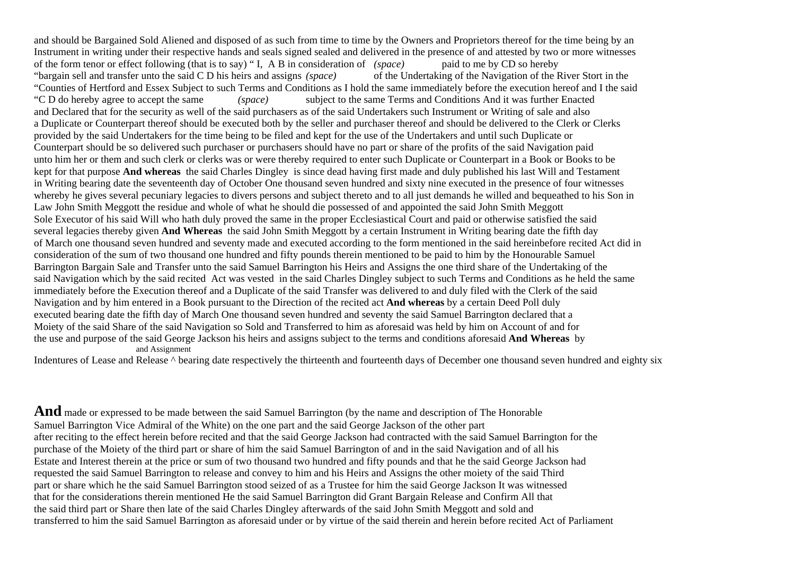and should be Bargained Sold Aliened and disposed of as such from time to time by the Owners and Proprietors thereof for the time being by an Instrument in writing under their respective hands and seals signed sealed and delivered in the presence of and attested by two or more witnesses of the form tenor or effect following (that is to say) " I, A B in consideration of *(space)* paid to me by CD so hereby "bargain sell and transfer unto the said C D his heirs and assigns *(space)* of the Undertaking of the Navigation of the River Stort in the "Counties of Hertford and Essex Subject to such Terms and Conditions as I hold the same immediately before the execution hereof and I the said "C D do hereby agree to accept the same *(space)* subject to the same Terms and Conditions And it was further Enacted and Declared that for the security as well of the said purchasers as of the said Undertakers such Instrument or Writing of sale and also a Duplicate or Counterpart thereof should be executed both by the seller and purchaser thereof and should be delivered to the Clerk or Clerks provided by the said Undertakers for the time being to be filed and kept for the use of the Undertakers and until such Duplicate or Counterpart should be so delivered such purchaser or purchasers should have no part or share of the profits of the said Navigation paid unto him her or them and such clerk or clerks was or were thereby required to enter such Duplicate or Counterpart in a Book or Books to be kept for that purpose **And whereas** the said Charles Dingley is since dead having first made and duly published his last Will and Testament in Writing bearing date the seventeenth day of October One thousand seven hundred and sixty nine executed in the presence of four witnesses whereby he gives several pecuniary legacies to divers persons and subject thereto and to all just demands he willed and bequeathed to his Son in Law John Smith Meggott the residue and whole of what he should die possessed of and appointed the said John Smith Meggott Sole Executor of his said Will who hath duly proved the same in the proper Ecclesiastical Court and paid or otherwise satisfied the said several legacies thereby given **And Whereas** the said John Smith Meggott by a certain Instrument in Writing bearing date the fifth day of March one thousand seven hundred and seventy made and executed according to the form mentioned in the said hereinbefore recited Act did in consideration of the sum of two thousand one hundred and fifty pounds therein mentioned to be paid to him by the Honourable Samuel Barrington Bargain Sale and Transfer unto the said Samuel Barrington his Heirs and Assigns the one third share of the Undertaking of the said Navigation which by the said recited Act was vested in the said Charles Dingley subject to such Terms and Conditions as he held the same immediately before the Execution thereof and a Duplicate of the said Transfer was delivered to and duly filed with the Clerk of the said Navigation and by him entered in a Book pursuant to the Direction of the recited act **And whereas** by a certain Deed Poll duly executed bearing date the fifth day of March One thousand seven hundred and seventy the said Samuel Barrington declared that a Moiety of the said Share of the said Navigation so Sold and Transferred to him as aforesaid was held by him on Account of and for the use and purpose of the said George Jackson his heirs and assigns subject to the terms and conditions aforesaid **And Whereas** by and Assignment

Indentures of Lease and Release  $\land$  bearing date respectively the thirteenth and fourteenth days of December one thousand seven hundred and eighty six

**And** made or expressed to be made between the said Samuel Barrington (by the name and description of The Honorable Samuel Barrington Vice Admiral of the White) on the one part and the said George Jackson of the other part after reciting to the effect herein before recited and that the said George Jackson had contracted with the said Samuel Barrington for the purchase of the Moiety of the third part or share of him the said Samuel Barrington of and in the said Navigation and of all his Estate and Interest therein at the price or sum of two thousand two hundred and fifty pounds and that he the said George Jackson had requested the said Samuel Barrington to release and convey to him and his Heirs and Assigns the other moiety of the said Third part or share which he the said Samuel Barrington stood seized of as a Trustee for him the said George Jackson It was witnessed that for the considerations therein mentioned He the said Samuel Barrington did Grant Bargain Release and Confirm All that the said third part or Share then late of the said Charles Dingley afterwards of the said John Smith Meggott and sold and transferred to him the said Samuel Barrington as aforesaid under or by virtue of the said therein and herein before recited Act of Parliament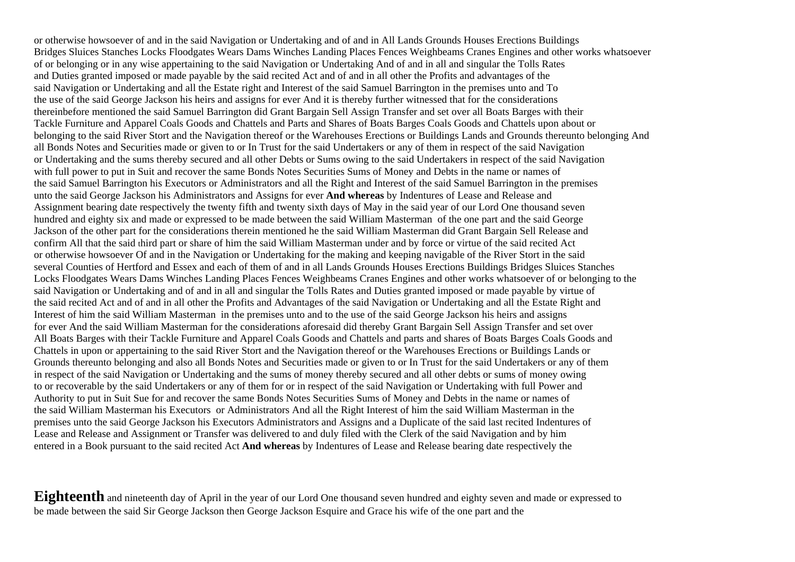or otherwise howsoever of and in the said Navigation or Undertaking and of and in All Lands Grounds Houses Erections Buildings Bridges Sluices Stanches Locks Floodgates Wears Dams Winches Landing Places Fences Weighbeams Cranes Engines and other works whatsoever of or belonging or in any wise appertaining to the said Navigation or Undertaking And of and in all and singular the Tolls Rates and Duties granted imposed or made payable by the said recited Act and of and in all other the Profits and advantages of the said Navigation or Undertaking and all the Estate right and Interest of the said Samuel Barrington in the premises unto and To the use of the said George Jackson his heirs and assigns for ever And it is thereby further witnessed that for the considerations thereinbefore mentioned the said Samuel Barrington did Grant Bargain Sell Assign Transfer and set over all Boats Barges with their Tackle Furniture and Apparel Coals Goods and Chattels and Parts and Shares of Boats Barges Coals Goods and Chattels upon about or belonging to the said River Stort and the Navigation thereof or the Warehouses Erections or Buildings Lands and Grounds thereunto belonging And all Bonds Notes and Securities made or given to or In Trust for the said Undertakers or any of them in respect of the said Navigation or Undertaking and the sums thereby secured and all other Debts or Sums owing to the said Undertakers in respect of the said Navigation with full power to put in Suit and recover the same Bonds Notes Securities Sums of Money and Debts in the name or names of the said Samuel Barrington his Executors or Administrators and all the Right and Interest of the said Samuel Barrington in the premises unto the said George Jackson his Administrators and Assigns for ever **And whereas** by Indentures of Lease and Release and Assignment bearing date respectively the twenty fifth and twenty sixth days of May in the said year of our Lord One thousand seven hundred and eighty six and made or expressed to be made between the said William Masterman of the one part and the said George Jackson of the other part for the considerations therein mentioned he the said William Masterman did Grant Bargain Sell Release and confirm All that the said third part or share of him the said William Masterman under and by force or virtue of the said recited Act or otherwise howsoever Of and in the Navigation or Undertaking for the making and keeping navigable of the River Stort in the said several Counties of Hertford and Essex and each of them of and in all Lands Grounds Houses Erections Buildings Bridges Sluices Stanches Locks Floodgates Wears Dams Winches Landing Places Fences Weighbeams Cranes Engines and other works whatsoever of or belonging to the said Navigation or Undertaking and of and in all and singular the Tolls Rates and Duties granted imposed or made payable by virtue of the said recited Act and of and in all other the Profits and Advantages of the said Navigation or Undertaking and all the Estate Right and Interest of him the said William Masterman in the premises unto and to the use of the said George Jackson his heirs and assigns for ever And the said William Masterman for the considerations aforesaid did thereby Grant Bargain Sell Assign Transfer and set over All Boats Barges with their Tackle Furniture and Apparel Coals Goods and Chattels and parts and shares of Boats Barges Coals Goods and Chattels in upon or appertaining to the said River Stort and the Navigation thereof or the Warehouses Erections or Buildings Lands or Grounds thereunto belonging and also all Bonds Notes and Securities made or given to or In Trust for the said Undertakers or any of them in respect of the said Navigation or Undertaking and the sums of money thereby secured and all other debts or sums of money owing to or recoverable by the said Undertakers or any of them for or in respect of the said Navigation or Undertaking with full Power and Authority to put in Suit Sue for and recover the same Bonds Notes Securities Sums of Money and Debts in the name or names of the said William Masterman his Executors or Administrators And all the Right Interest of him the said William Masterman in the premises unto the said George Jackson his Executors Administrators and Assigns and a Duplicate of the said last recited Indentures of Lease and Release and Assignment or Transfer was delivered to and duly filed with the Clerk of the said Navigation and by him entered in a Book pursuant to the said recited Act **And whereas** by Indentures of Lease and Release bearing date respectively the

Eighteenth and nineteenth day of April in the year of our Lord One thousand seven hundred and eighty seven and made or expressed to be made between the said Sir George Jackson then George Jackson Esquire and Grace his wife of the one part and the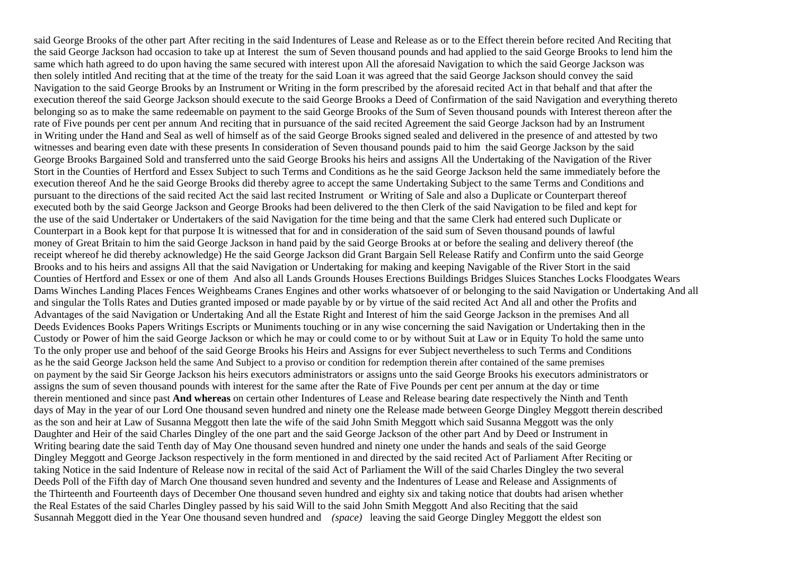said George Brooks of the other part After reciting in the said Indentures of Lease and Release as or to the Effect therein before recited And Reciting that the said George Jackson had occasion to take up at Interest the sum of Seven thousand pounds and had applied to the said George Brooks to lend him the same which hath agreed to do upon having the same secured with interest upon All the aforesaid Navigation to which the said George Jackson was then solely intitled And reciting that at the time of the treaty for the said Loan it was agreed that the said George Jackson should convey the said Navigation to the said George Brooks by an Instrument or Writing in the form prescribed by the aforesaid recited Act in that behalf and that after the execution thereof the said George Jackson should execute to the said George Brooks a Deed of Confirmation of the said Navigation and everything thereto belonging so as to make the same redeemable on payment to the said George Brooks of the Sum of Seven thousand pounds with Interest thereon after the rate of Five pounds per cent per annum And reciting that in pursuance of the said recited Agreement the said George Jackson had by an Instrument in Writing under the Hand and Seal as well of himself as of the said George Brooks signed sealed and delivered in the presence of and attested by two witnesses and bearing even date with these presents In consideration of Seven thousand pounds paid to him the said George Jackson by the said George Brooks Bargained Sold and transferred unto the said George Brooks his heirs and assigns All the Undertaking of the Navigation of the River Stort in the Counties of Hertford and Essex Subject to such Terms and Conditions as he the said George Jackson held the same immediately before the execution thereof And he the said George Brooks did thereby agree to accept the same Undertaking Subject to the same Terms and Conditions and pursuant to the directions of the said recited Act the said last recited Instrument or Writing of Sale and also a Duplicate or Counterpart thereof executed both by the said George Jackson and George Brooks had been delivered to the then Clerk of the said Navigation to be filed and kept for the use of the said Undertaker or Undertakers of the said Navigation for the time being and that the same Clerk had entered such Duplicate or Counterpart in a Book kept for that purpose It is witnessed that for and in consideration of the said sum of Seven thousand pounds of lawful money of Great Britain to him the said George Jackson in hand paid by the said George Brooks at or before the sealing and delivery thereof (the receipt whereof he did thereby acknowledge) He the said George Jackson did Grant Bargain Sell Release Ratify and Confirm unto the said George Brooks and to his heirs and assigns All that the said Navigation or Undertaking for making and keeping Navigable of the River Stort in the said Counties of Hertford and Essex or one of them And also all Lands Grounds Houses Erections Buildings Bridges Sluices Stanches Locks Floodgates Wears Dams Winches Landing Places Fences Weighbeams Cranes Engines and other works whatsoever of or belonging to the said Navigation or Undertaking And all and singular the Tolls Rates and Duties granted imposed or made payable by or by virtue of the said recited Act And all and other the Profits and Advantages of the said Navigation or Undertaking And all the Estate Right and Interest of him the said George Jackson in the premises And all Deeds Evidences Books Papers Writings Escripts or Muniments touching or in any wise concerning the said Navigation or Undertaking then in the Custody or Power of him the said George Jackson or which he may or could come to or by without Suit at Law or in Equity To hold the same unto To the only proper use and behoof of the said George Brooks his Heirs and Assigns for ever Subject nevertheless to such Terms and Conditions as he the said George Jackson held the same And Subject to a proviso or condition for redemption therein after contained of the same premises on payment by the said Sir George Jackson his heirs executors administrators or assigns unto the said George Brooks his executors administrators or assigns the sum of seven thousand pounds with interest for the same after the Rate of Five Pounds per cent per annum at the day or time therein mentioned and since past **And whereas** on certain other Indentures of Lease and Release bearing date respectively the Ninth and Tenth days of May in the year of our Lord One thousand seven hundred and ninety one the Release made between George Dingley Meggott therein described as the son and heir at Law of Susanna Meggott then late the wife of the said John Smith Meggott which said Susanna Meggott was the only Daughter and Heir of the said Charles Dingley of the one part and the said George Jackson of the other part And by Deed or Instrument in Writing bearing date the said Tenth day of May One thousand seven hundred and ninety one under the hands and seals of the said George Dingley Meggott and George Jackson respectively in the form mentioned in and directed by the said recited Act of Parliament After Reciting or taking Notice in the said Indenture of Release now in recital of the said Act of Parliament the Will of the said Charles Dingley the two several Deeds Poll of the Fifth day of March One thousand seven hundred and seventy and the Indentures of Lease and Release and Assignments of the Thirteenth and Fourteenth days of December One thousand seven hundred and eighty six and taking notice that doubts had arisen whether the Real Estates of the said Charles Dingley passed by his said Will to the said John Smith Meggott And also Reciting that the said Susannah Meggott died in the Year One thousand seven hundred and *(space)* leaving the said George Dingley Meggott the eldest son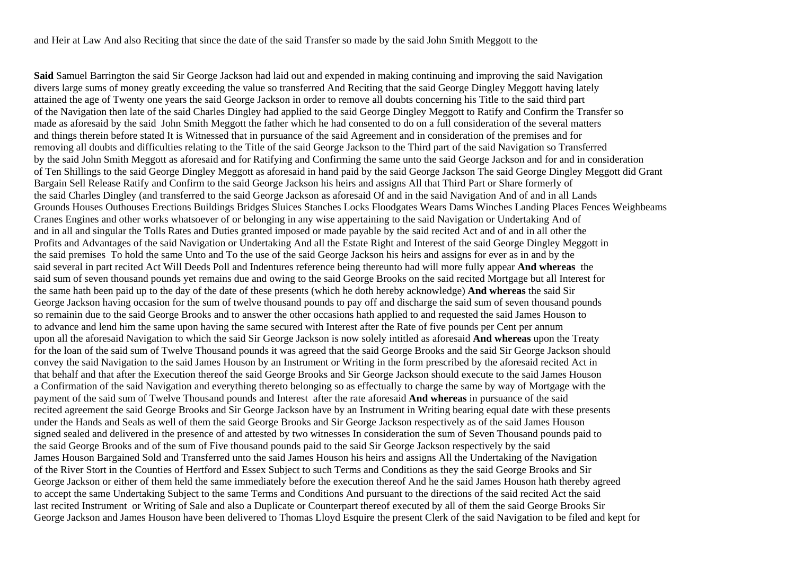and Heir at Law And also Reciting that since the date of the said Transfer so made by the said John Smith Meggott to the

**Said** Samuel Barrington the said Sir George Jackson had laid out and expended in making continuing and improving the said Navigation divers large sums of money greatly exceeding the value so transferred And Reciting that the said George Dingley Meggott having lately attained the age of Twenty one years the said George Jackson in order to remove all doubts concerning his Title to the said third part of the Navigation then late of the said Charles Dingley had applied to the said George Dingley Meggott to Ratify and Confirm the Transfer so made as aforesaid by the said John Smith Meggott the father which he had consented to do on a full consideration of the several matters and things therein before stated It is Witnessed that in pursuance of the said Agreement and in consideration of the premises and for removing all doubts and difficulties relating to the Title of the said George Jackson to the Third part of the said Navigation so Transferred by the said John Smith Meggott as aforesaid and for Ratifying and Confirming the same unto the said George Jackson and for and in consideration of Ten Shillings to the said George Dingley Meggott as aforesaid in hand paid by the said George Jackson The said George Dingley Meggott did Grant Bargain Sell Release Ratify and Confirm to the said George Jackson his heirs and assigns All that Third Part or Share formerly of the said Charles Dingley (and transferred to the said George Jackson as aforesaid Of and in the said Navigation And of and in all Lands Grounds Houses Outhouses Erections Buildings Bridges Sluices Stanches Locks Floodgates Wears Dams Winches Landing Places Fences Weighbeams Cranes Engines and other works whatsoever of or belonging in any wise appertaining to the said Navigation or Undertaking And of and in all and singular the Tolls Rates and Duties granted imposed or made payable by the said recited Act and of and in all other the Profits and Advantages of the said Navigation or Undertaking And all the Estate Right and Interest of the said George Dingley Meggott in the said premises To hold the same Unto and To the use of the said George Jackson his heirs and assigns for ever as in and by the said several in part recited Act Will Deeds Poll and Indentures reference being thereunto had will more fully appear **And whereas** the said sum of seven thousand pounds yet remains due and owing to the said George Brooks on the said recited Mortgage but all Interest for the same hath been paid up to the day of the date of these presents (which he doth hereby acknowledge) **And whereas** the said Sir George Jackson having occasion for the sum of twelve thousand pounds to pay off and discharge the said sum of seven thousand pounds so remainin due to the said George Brooks and to answer the other occasions hath applied to and requested the said James Houson to to advance and lend him the same upon having the same secured with Interest after the Rate of five pounds per Cent per annum upon all the aforesaid Navigation to which the said Sir George Jackson is now solely intitled as aforesaid **And whereas** upon the Treaty for the loan of the said sum of Twelve Thousand pounds it was agreed that the said George Brooks and the said Sir George Jackson should convey the said Navigation to the said James Houson by an Instrument or Writing in the form prescribed by the aforesaid recited Act in that behalf and that after the Execution thereof the said George Brooks and Sir George Jackson should execute to the said James Houson a Confirmation of the said Navigation and everything thereto belonging so as effectually to charge the same by way of Mortgage with the payment of the said sum of Twelve Thousand pounds and Interest after the rate aforesaid **And whereas** in pursuance of the said recited agreement the said George Brooks and Sir George Jackson have by an Instrument in Writing bearing equal date with these presents under the Hands and Seals as well of them the said George Brooks and Sir George Jackson respectively as of the said James Houson signed sealed and delivered in the presence of and attested by two witnesses In consideration the sum of Seven Thousand pounds paid to the said George Brooks and of the sum of Five thousand pounds paid to the said Sir George Jackson respectively by the said James Houson Bargained Sold and Transferred unto the said James Houson his heirs and assigns All the Undertaking of the Navigation of the River Stort in the Counties of Hertford and Essex Subject to such Terms and Conditions as they the said George Brooks and Sir George Jackson or either of them held the same immediately before the execution thereof And he the said James Houson hath thereby agreed to accept the same Undertaking Subject to the same Terms and Conditions And pursuant to the directions of the said recited Act the said last recited Instrument or Writing of Sale and also a Duplicate or Counterpart thereof executed by all of them the said George Brooks Sir George Jackson and James Houson have been delivered to Thomas Lloyd Esquire the present Clerk of the said Navigation to be filed and kept for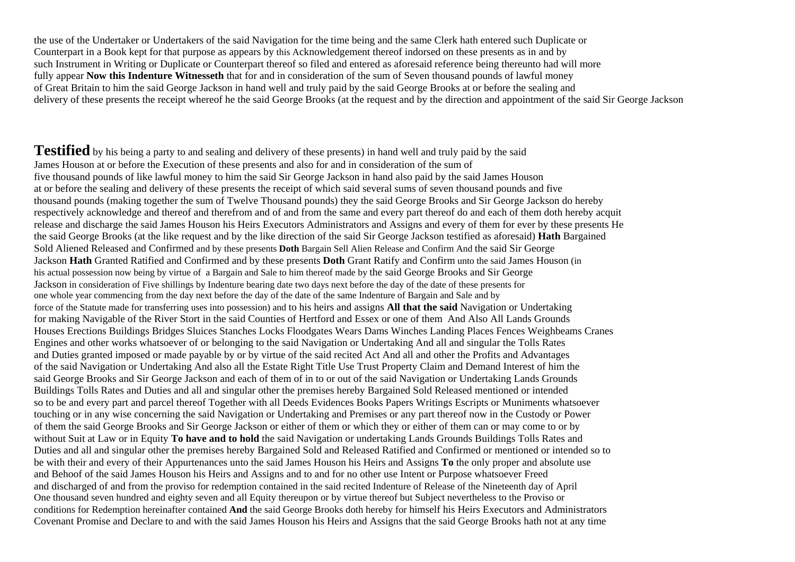the use of the Undertaker or Undertakers of the said Navigation for the time being and the same Clerk hath entered such Duplicate or Counterpart in a Book kept for that purpose as appears by this Acknowledgement thereof indorsed on these presents as in and by such Instrument in Writing or Duplicate or Counterpart thereof so filed and entered as aforesaid reference being thereunto had will more fully appear **Now this Indenture Witnesseth** that for and in consideration of the sum of Seven thousand pounds of lawful money of Great Britain to him the said George Jackson in hand well and truly paid by the said George Brooks at or before the sealing and delivery of these presents the receipt whereof he the said George Brooks (at the request and by the direction and appointment of the said Sir George Jackson

**Testified** by his being a party to and sealing and delivery of these presents) in hand well and truly paid by the said James Houson at or before the Execution of these presents and also for and in consideration of the sum of five thousand pounds of like lawful money to him the said Sir George Jackson in hand also paid by the said James Houson at or before the sealing and delivery of these presents the receipt of which said several sums of seven thousand pounds and five thousand pounds (making together the sum of Twelve Thousand pounds) they the said George Brooks and Sir George Jackson do hereby respectively acknowledge and thereof and therefrom and of and from the same and every part thereof do and each of them doth hereby acquit release and discharge the said James Houson his Heirs Executors Administrators and Assigns and every of them for ever by these presents He the said George Brooks (at the like request and by the like direction of the said Sir George Jackson testified as aforesaid) **Hath** Bargained Sold Aliened Released and Confirmed and by these presents **Doth** Bargain Sell Alien Release and Confirm And the said Sir George Jackson **Hath** Granted Ratified and Confirmed and by these presents **Doth** Grant Ratify and Confirm unto the said James Houson (in his actual possession now being by virtue of a Bargain and Sale to him thereof made by the said George Brooks and Sir George Jackson in consideration of Five shillings by Indenture bearing date two days next before the day of the date of these presents for one whole year commencing from the day next before the day of the date of the same Indenture of Bargain and Sale and by force of the Statute made for transferring uses into possession) and to his heirs and assigns **All that the said** Navigation or Undertaking for making Navigable of the River Stort in the said Counties of Hertford and Essex or one of them And Also All Lands Grounds Houses Erections Buildings Bridges Sluices Stanches Locks Floodgates Wears Dams Winches Landing Places Fences Weighbeams Cranes Engines and other works whatsoever of or belonging to the said Navigation or Undertaking And all and singular the Tolls Rates and Duties granted imposed or made payable by or by virtue of the said recited Act And all and other the Profits and Advantages of the said Navigation or Undertaking And also all the Estate Right Title Use Trust Property Claim and Demand Interest of him the said George Brooks and Sir George Jackson and each of them of in to or out of the said Navigation or Undertaking Lands Grounds Buildings Tolls Rates and Duties and all and singular other the premises hereby Bargained Sold Released mentioned or intended so to be and every part and parcel thereof Together with all Deeds Evidences Books Papers Writings Escripts or Muniments whatsoever touching or in any wise concerning the said Navigation or Undertaking and Premises or any part thereof now in the Custody or Power of them the said George Brooks and Sir George Jackson or either of them or which they or either of them can or may come to or by without Suit at Law or in Equity **To have and to hold** the said Navigation or undertaking Lands Grounds Buildings Tolls Rates and Duties and all and singular other the premises hereby Bargained Sold and Released Ratified and Confirmed or mentioned or intended so to be with their and every of their Appurtenances unto the said James Houson his Heirs and Assigns **To** the only proper and absolute use and Behoof of the said James Houson his Heirs and Assigns and to and for no other use Intent or Purpose whatsoever Freed and discharged of and from the proviso for redemption contained in the said recited Indenture of Release of the Nineteenth day of April One thousand seven hundred and eighty seven and all Equity thereupon or by virtue thereof but Subject nevertheless to the Proviso or conditions for Redemption hereinafter contained **And** the said George Brooks doth hereby for himself his Heirs Executors and Administrators Covenant Promise and Declare to and with the said James Houson his Heirs and Assigns that the said George Brooks hath not at any time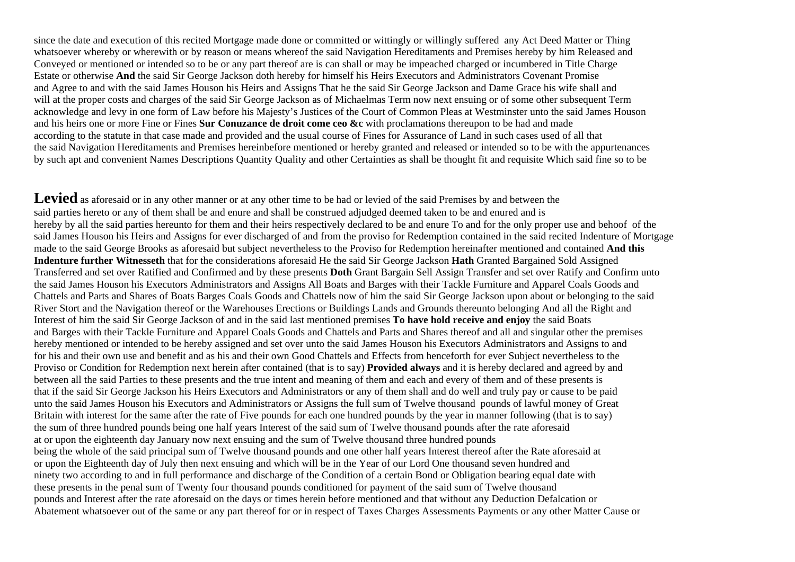since the date and execution of this recited Mortgage made done or committed or wittingly or willingly suffered any Act Deed Matter or Thing whatsoever whereby or wherewith or by reason or means whereof the said Navigation Hereditaments and Premises hereby by him Released and Conveyed or mentioned or intended so to be or any part thereof are is can shall or may be impeached charged or incumbered in Title Charge Estate or otherwise **And** the said Sir George Jackson doth hereby for himself his Heirs Executors and Administrators Covenant Promise and Agree to and with the said James Houson his Heirs and Assigns That he the said Sir George Jackson and Dame Grace his wife shall and will at the proper costs and charges of the said Sir George Jackson as of Michaelmas Term now next ensuing or of some other subsequent Term acknowledge and levy in one form of Law before his Majesty's Justices of the Court of Common Pleas at Westminster unto the said James Houson and his heirs one or more Fine or Fines **Sur Conuzance de droit come ceo &c** with proclamations thereupon to be had and made according to the statute in that case made and provided and the usual course of Fines for Assurance of Land in such cases used of all that the said Navigation Hereditaments and Premises hereinbefore mentioned or hereby granted and released or intended so to be with the appurtenances by such apt and convenient Names Descriptions Quantity Quality and other Certainties as shall be thought fit and requisite Which said fine so to be

**Levied** as aforesaid or in any other manner or at any other time to be had or levied of the said Premises by and between the said parties hereto or any of them shall be and enure and shall be construed adjudged deemed taken to be and enured and is hereby by all the said parties hereunto for them and their heirs respectively declared to be and enure To and for the only proper use and behoof of the said James Houson his Heirs and Assigns for ever discharged of and from the proviso for Redemption contained in the said recited Indenture of Mortgage made to the said George Brooks as aforesaid but subject nevertheless to the Proviso for Redemption hereinafter mentioned and contained **And this Indenture further Witnesseth** that for the considerations aforesaid He the said Sir George Jackson **Hath** Granted Bargained Sold Assigned Transferred and set over Ratified and Confirmed and by these presents **Doth** Grant Bargain Sell Assign Transfer and set over Ratify and Confirm unto the said James Houson his Executors Administrators and Assigns All Boats and Barges with their Tackle Furniture and Apparel Coals Goods and Chattels and Parts and Shares of Boats Barges Coals Goods and Chattels now of him the said Sir George Jackson upon about or belonging to the said River Stort and the Navigation thereof or the Warehouses Erections or Buildings Lands and Grounds thereunto belonging And all the Right and Interest of him the said Sir George Jackson of and in the said last mentioned premises **To have hold receive and enjoy** the said Boats and Barges with their Tackle Furniture and Apparel Coals Goods and Chattels and Parts and Shares thereof and all and singular other the premises hereby mentioned or intended to be hereby assigned and set over unto the said James Houson his Executors Administrators and Assigns to and for his and their own use and benefit and as his and their own Good Chattels and Effects from henceforth for ever Subject nevertheless to the Proviso or Condition for Redemption next herein after contained (that is to say) **Provided always** and it is hereby declared and agreed by and between all the said Parties to these presents and the true intent and meaning of them and each and every of them and of these presents is that if the said Sir George Jackson his Heirs Executors and Administrators or any of them shall and do well and truly pay or cause to be paid unto the said James Houson his Executors and Administrators or Assigns the full sum of Twelve thousand pounds of lawful money of Great Britain with interest for the same after the rate of Five pounds for each one hundred pounds by the year in manner following (that is to say) the sum of three hundred pounds being one half years Interest of the said sum of Twelve thousand pounds after the rate aforesaid at or upon the eighteenth day January now next ensuing and the sum of Twelve thousand three hundred pounds being the whole of the said principal sum of Twelve thousand pounds and one other half years Interest thereof after the Rate aforesaid at or upon the Eighteenth day of July then next ensuing and which will be in the Year of our Lord One thousand seven hundred and ninety two according to and in full performance and discharge of the Condition of a certain Bond or Obligation bearing equal date with these presents in the penal sum of Twenty four thousand pounds conditioned for payment of the said sum of Twelve thousand pounds and Interest after the rate aforesaid on the days or times herein before mentioned and that without any Deduction Defalcation or Abatement whatsoever out of the same or any part thereof for or in respect of Taxes Charges Assessments Payments or any other Matter Cause or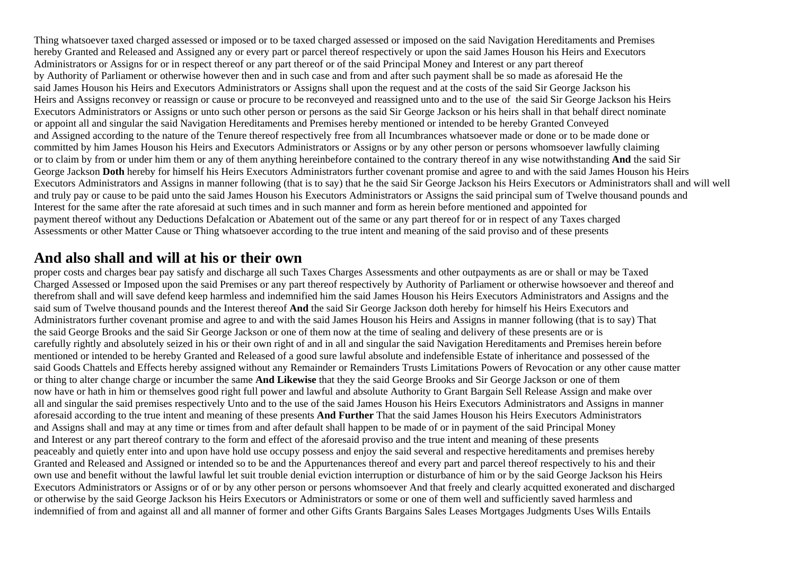Thing whatsoever taxed charged assessed or imposed or to be taxed charged assessed or imposed on the said Navigation Hereditaments and Premises hereby Granted and Released and Assigned any or every part or parcel thereof respectively or upon the said James Houson his Heirs and Executors Administrators or Assigns for or in respect thereof or any part thereof or of the said Principal Money and Interest or any part thereof by Authority of Parliament or otherwise however then and in such case and from and after such payment shall be so made as aforesaid He the said James Houson his Heirs and Executors Administrators or Assigns shall upon the request and at the costs of the said Sir George Jackson his Heirs and Assigns reconvey or reassign or cause or procure to be reconveyed and reassigned unto and to the use of the said Sir George Jackson his Heirs Executors Administrators or Assigns or unto such other person or persons as the said Sir George Jackson or his heirs shall in that behalf direct nominate or appoint all and singular the said Navigation Hereditaments and Premises hereby mentioned or intended to be hereby Granted Conveyed and Assigned according to the nature of the Tenure thereof respectively free from all Incumbrances whatsoever made or done or to be made done or committed by him James Houson his Heirs and Executors Administrators or Assigns or by any other person or persons whomsoever lawfully claiming or to claim by from or under him them or any of them anything hereinbefore contained to the contrary thereof in any wise notwithstanding **And** the said Sir George Jackson **Doth** hereby for himself his Heirs Executors Administrators further covenant promise and agree to and with the said James Houson his Heirs Executors Administrators and Assigns in manner following (that is to say) that he the said Sir George Jackson his Heirs Executors or Administrators shall and will well and truly pay or cause to be paid unto the said James Houson his Executors Administrators or Assigns the said principal sum of Twelve thousand pounds and Interest for the same after the rate aforesaid at such times and in such manner and form as herein before mentioned and appointed for payment thereof without any Deductions Defalcation or Abatement out of the same or any part thereof for or in respect of any Taxes charged Assessments or other Matter Cause or Thing whatsoever according to the true intent and meaning of the said proviso and of these presents

## **And also shall and will at his or their own**

proper costs and charges bear pay satisfy and discharge all such Taxes Charges Assessments and other outpayments as are or shall or may be Taxed Charged Assessed or Imposed upon the said Premises or any part thereof respectively by Authority of Parliament or otherwise howsoever and thereof and therefrom shall and will save defend keep harmless and indemnified him the said James Houson his Heirs Executors Administrators and Assigns and the said sum of Twelve thousand pounds and the Interest thereof **And** the said Sir George Jackson doth hereby for himself his Heirs Executors and Administrators further covenant promise and agree to and with the said James Houson his Heirs and Assigns in manner following (that is to say) That the said George Brooks and the said Sir George Jackson or one of them now at the time of sealing and delivery of these presents are or is carefully rightly and absolutely seized in his or their own right of and in all and singular the said Navigation Hereditaments and Premises herein before mentioned or intended to be hereby Granted and Released of a good sure lawful absolute and indefensible Estate of inheritance and possessed of the said Goods Chattels and Effects hereby assigned without any Remainder or Remainders Trusts Limitations Powers of Revocation or any other cause matter or thing to alter change charge or incumber the same **And Likewise** that they the said George Brooks and Sir George Jackson or one of them now have or hath in him or themselves good right full power and lawful and absolute Authority to Grant Bargain Sell Release Assign and make over all and singular the said premises respectively Unto and to the use of the said James Houson his Heirs Executors Administrators and Assigns in manner aforesaid according to the true intent and meaning of these presents **And Further** That the said James Houson his Heirs Executors Administrators and Assigns shall and may at any time or times from and after default shall happen to be made of or in payment of the said Principal Money and Interest or any part thereof contrary to the form and effect of the aforesaid proviso and the true intent and meaning of these presents peaceably and quietly enter into and upon have hold use occupy possess and enjoy the said several and respective hereditaments and premises hereby Granted and Released and Assigned or intended so to be and the Appurtenances thereof and every part and parcel thereof respectively to his and their own use and benefit without the lawful lawful let suit trouble denial eviction interruption or disturbance of him or by the said George Jackson his Heirs Executors Administrators or Assigns or of or by any other person or persons whomsoever And that freely and clearly acquitted exonerated and discharged or otherwise by the said George Jackson his Heirs Executors or Administrators or some or one of them well and sufficiently saved harmless and indemnified of from and against all and all manner of former and other Gifts Grants Bargains Sales Leases Mortgages Judgments Uses Wills Entails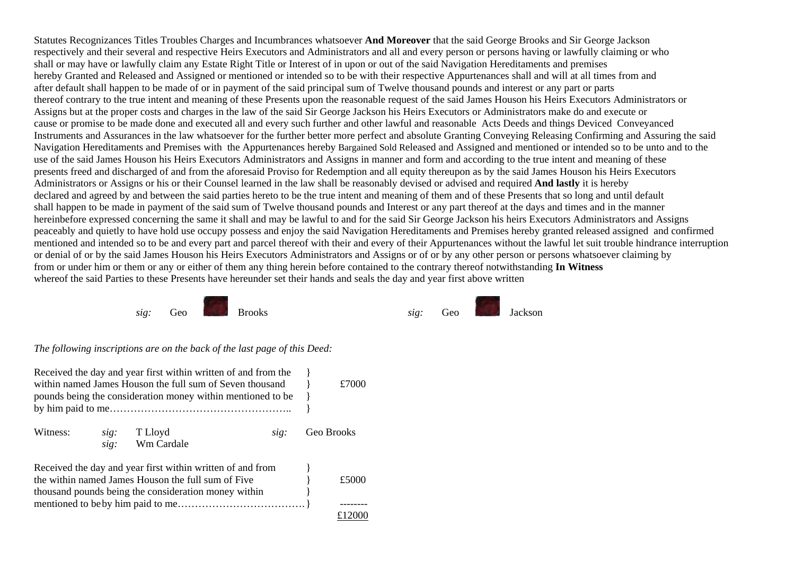Statutes Recognizances Titles Troubles Charges and Incumbrances whatsoever **And Moreover** that the said George Brooks and Sir George Jackson respectively and their several and respective Heirs Executors and Administrators and all and every person or persons having or lawfully claiming or who shall or may have or lawfully claim any Estate Right Title or Interest of in upon or out of the said Navigation Hereditaments and premises hereby Granted and Released and Assigned or mentioned or intended so to be with their respective Appurtenances shall and will at all times from and after default shall happen to be made of or in payment of the said principal sum of Twelve thousand pounds and interest or any part or parts thereof contrary to the true intent and meaning of these Presents upon the reasonable request of the said James Houson his Heirs Executors Administrators or Assigns but at the proper costs and charges in the law of the said Sir George Jackson his Heirs Executors or Administrators make do and execute or cause or promise to be made done and executed all and every such further and other lawful and reasonable Acts Deeds and things Deviced Conveyanced Instruments and Assurances in the law whatsoever for the further better more perfect and absolute Granting Conveying Releasing Confirming and Assuring the said Navigation Hereditaments and Premises with the Appurtenances hereby Bargained Sold Released and Assigned and mentioned or intended so to be unto and to the use of the said James Houson his Heirs Executors Administrators and Assigns in manner and form and according to the true intent and meaning of these presents freed and discharged of and from the aforesaid Proviso for Redemption and all equity thereupon as by the said James Houson his Heirs Executors Administrators or Assigns or his or their Counsel learned in the law shall be reasonably devised or advised and required **And lastly** it is hereby declared and agreed by and between the said parties hereto to be the true intent and meaning of them and of these Presents that so long and until default shall happen to be made in payment of the said sum of Twelve thousand pounds and Interest or any part thereof at the days and times and in the manner hereinbefore expressed concerning the same it shall and may be lawful to and for the said Sir George Jackson his heirs Executors Administrators and Assigns peaceably and quietly to have hold use occupy possess and enjoy the said Navigation Hereditaments and Premises hereby granted released assigned and confirmed mentioned and intended so to be and every part and parcel thereof with their and every of their Appurtenances without the lawful let suit trouble hindrance interruption or denial of or by the said James Houson his Heirs Executors Administrators and Assigns or of or by any other person or persons whatsoever claiming by from or under him or them or any or either of them any thing herein before contained to the contrary thereof notwithstanding **In Witness**  whereof the said Parties to these Presents have hereunder set their hands and seals the day and year first above written



*The following inscriptions are on the back of the last page of this Deed:* 

| Received the day and year first within written of and from the<br>within named James Houson the full sum of Seven thousand<br>pounds being the consideration money within mentioned to be |              |                                                                                                                                                                          |      | £7000      |       |
|-------------------------------------------------------------------------------------------------------------------------------------------------------------------------------------------|--------------|--------------------------------------------------------------------------------------------------------------------------------------------------------------------------|------|------------|-------|
| Witness:                                                                                                                                                                                  | sig:<br>sig: | T Lloyd<br>Wm Cardale                                                                                                                                                    | sig: | Geo Brooks |       |
|                                                                                                                                                                                           |              | Received the day and year first within written of and from<br>the within named James Houson the full sum of Five<br>thousand pounds being the consideration money within |      |            | £5000 |